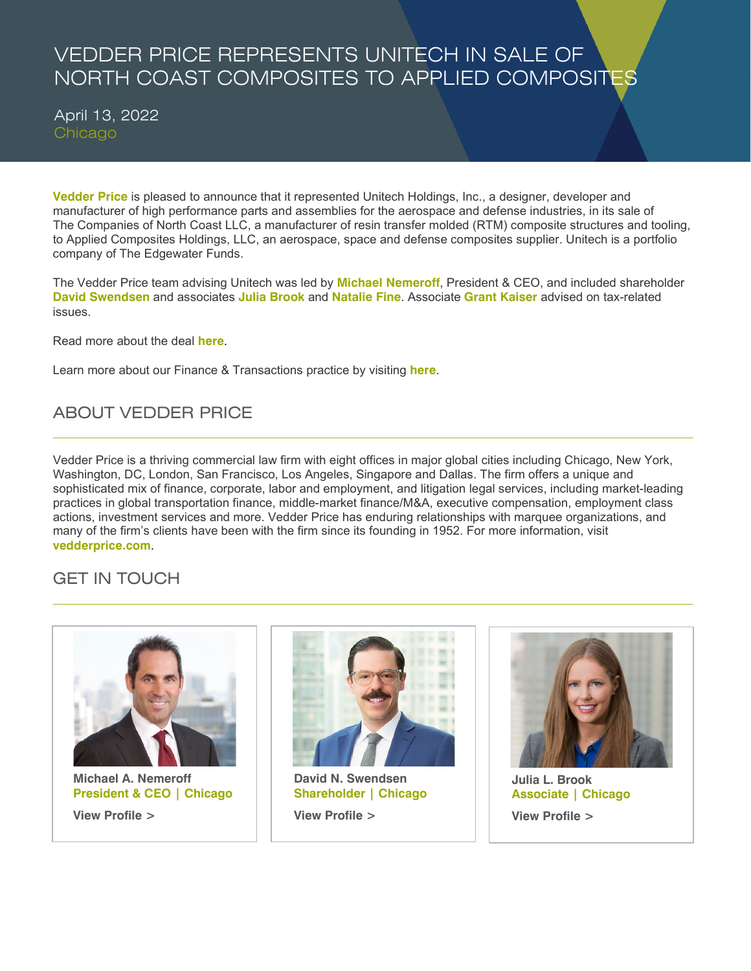## VEDDER PRICE REPRESENTS UNITECH IN SALE OF NORTH COAST COMPOSITES TO APPLIED COMPOSITES

April 13, 2022 Chicago

**[Vedder Price](https://www.vedderprice.com/)** is pleased to announce that it represented Unitech Holdings, Inc., a designer, developer and manufacturer of high performance parts and assemblies for the aerospace and defense industries, in its sale of The Companies of North Coast LLC, a manufacturer of resin transfer molded (RTM) composite structures and tooling, to Applied Composites Holdings, LLC, an aerospace, space and defense composites supplier. Unitech is a portfolio company of The Edgewater Funds.

The Vedder Price team advising Unitech was led by **[Michael Nemeroff](https://www.vedderprice.com/michael-a-nemeroff)**, President & CEO, and included shareholder **[David Swendsen](https://www.vedderprice.com/david-n-swendsen)** and associates **Julia [Brook](https://www.vedderprice.com/julia-l-brook)** and **[Natalie Fine](https://www.vedderprice.com/natalie-l-fine)**. Associate **[Grant Kaiser](https://www.vedderprice.com/grant-kaiser)** advised on tax-related issues.

Read more about the deal **[here](https://www.prnewswire.com/news-releases/applied-composites-a-portfolio-company-of-ae-industrial-partners-acquires-north-coast-composites-and-north-coast-tool--mold-from-unitech-301518716.html)**.

Learn more about our Finance & Transactions practice by visiting **[here](https://www.vedderprice.com/finance-and-transactions-client-services)**.

## ABOUT VEDDER PRICE

Vedder Price is a thriving commercial law firm with eight offices in major global cities including Chicago, New York, Washington, DC, London, San Francisco, Los Angeles, Singapore and Dallas. The firm offers a unique and sophisticated mix of finance, corporate, labor and employment, and litigation legal services, including market-leading practices in global transportation finance, middle-market finance/M&A, executive compensation, employment class actions, investment services and more. Vedder Price has enduring relationships with marquee organizations, and many of the firm's clients have been with the firm since its founding in 1952. For more information, visit **[vedderprice.com](http://www.vedderprice.com/)**.

 $\_$  ,  $\_$  ,  $\_$  ,  $\_$  ,  $\_$  ,  $\_$  ,  $\_$  ,  $\_$  ,  $\_$  ,  $\_$  ,  $\_$  ,  $\_$  ,  $\_$  ,  $\_$  ,  $\_$  ,  $\_$  ,  $\_$  ,  $\_$  ,  $\_$  ,  $\_$  ,  $\_$  ,  $\_$  ,  $\_$  ,  $\_$  ,  $\_$  ,  $\_$  ,  $\_$  ,  $\_$  ,  $\_$  ,  $\_$  ,  $\_$  ,  $\_$  ,  $\_$  ,  $\_$  ,  $\_$  ,  $\_$  ,  $\_$  ,

## GET IN TOUCH



 **[Michael A. Nemeroff](https://www.vedderprice.com/michael-a-nemeroff) President & CEO | Chicago [View Profile](https://www.vedderprice.com/michael-a-nemeroff) >** 



 $\_$  ,  $\_$  ,  $\_$  ,  $\_$  ,  $\_$  ,  $\_$  ,  $\_$  ,  $\_$  ,  $\_$  ,  $\_$  ,  $\_$  ,  $\_$  ,  $\_$  ,  $\_$  ,  $\_$  ,  $\_$  ,  $\_$  ,  $\_$  ,  $\_$  ,  $\_$  ,  $\_$  ,  $\_$  ,  $\_$  ,  $\_$  ,  $\_$  ,  $\_$  ,  $\_$  ,  $\_$  ,  $\_$  ,  $\_$  ,  $\_$  ,  $\_$  ,  $\_$  ,  $\_$  ,  $\_$  ,  $\_$  ,  $\_$  ,

 **[David N. Swendsen](https://www.vedderprice.com/david-n-swendsen) Shareholder | Chicago [View Profile](https://www.vedderprice.com/david-n-swendsen) >** 



 **[Julia L. Brook](https://www.vedderprice.com/julia-l-brook) Associate | Chicago  [View Profile >](https://www.vedderprice.com/julia-l-brook)**